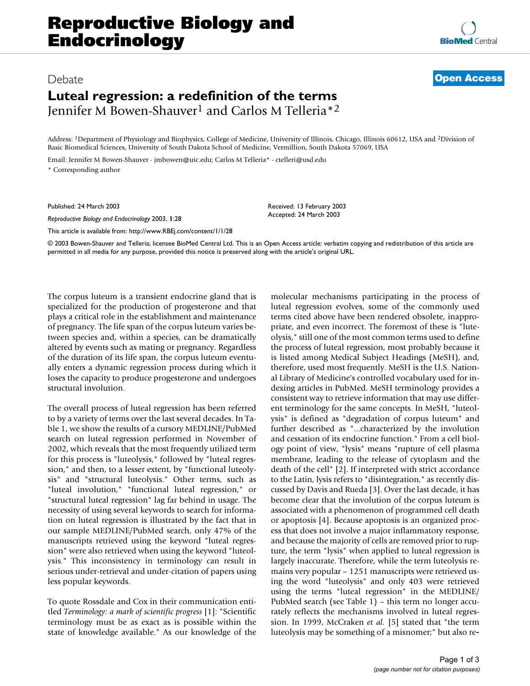## Debate **[Open Access](http://www.biomedcentral.com/info/about/charter/)**

## **Luteal regression: a redefinition of the terms** Jennifer M Bowen-Shauver1 and Carlos M Telleria\*2

Address: 1Department of Physiology and Biophysics, College of Medicine, University of Illinois, Chicago, Illinois 60612, USA and 2Division of Basic Biomedical Sciences, University of South Dakota School of Medicine, Vermillion, South Dakota 57069, USA

Email: Jennifer M Bowen-Shauver - jmbowen@uic.edu; Carlos M Telleria\* - ctelleri@usd.edu \* Corresponding author

Published: 24 March 2003

*Reproductive Biology and Endocrinology* 2003, **1**:28

[This article is available from: http://www.RBEj.com/content/1/1/28](http://www.RBEj.com/content/1/1/28)

© 2003 Bowen-Shauver and Telleria; licensee BioMed Central Ltd. This is an Open Access article: verbatim copying and redistribution of this article are permitted in all media for any purpose, provided this notice is preserved along with the article's original URL.

Received: 13 February 2003 Accepted: 24 March 2003

The corpus luteum is a transient endocrine gland that is specialized for the production of progesterone and that plays a critical role in the establishment and maintenance of pregnancy. The life span of the corpus luteum varies between species and, within a species, can be dramatically altered by events such as mating or pregnancy. Regardless of the duration of its life span, the corpus luteum eventually enters a dynamic regression process during which it loses the capacity to produce progesterone and undergoes structural involution.

The overall process of luteal regression has been referred to by a variety of terms over the last several decades. In Table 1, we show the results of a cursory MEDLINE/PubMed search on luteal regression performed in November of 2002, which reveals that the most frequently utilized term for this process is "luteolysis," followed by "luteal regression," and then, to a lesser extent, by "functional luteolysis" and "structural luteolysis." Other terms, such as "luteal involution," "functional luteal regression," or "structural luteal regression" lag far behind in usage. The necessity of using several keywords to search for information on luteal regression is illustrated by the fact that in our sample MEDLINE/PubMed search, only 47% of the manuscripts retrieved using the keyword "luteal regression" were also retrieved when using the keyword "luteolysis." This inconsistency in terminology can result in serious under-retrieval and under-citation of papers using less popular keywords.

To quote Rossdale and Cox in their communication entitled *Terminology: a mark of scientific progress* [1]: "Scientific terminology must be as exact as is possible within the state of knowledge available." As our knowledge of the molecular mechanisms participating in the process of luteal regression evolves, some of the commonly used terms cited above have been rendered obsolete, inappropriate, and even incorrect. The foremost of these is "luteolysis," still one of the most common terms used to define the process of luteal regression, most probably because it is listed among Medical Subject Headings (MeSH), and, therefore, used most frequently. MeSH is the U.S. National Library of Medicine's controlled vocabulary used for indexing articles in PubMed. MeSH terminology provides a consistent way to retrieve information that may use different terminology for the same concepts. In MeSH, "luteolysis" is defined as "degradation of corpus luteum" and further described as "...characterized by the involution and cessation of its endocrine function." From a cell biology point of view, "lysis" means "rupture of cell plasma membrane, leading to the release of cytoplasm and the death of the cell" [2]. If interpreted with strict accordance to the Latin, lysis refers to "disintegration," as recently discussed by Davis and Rueda [3]. Over the last decade, it has become clear that the involution of the corpus luteum is associated with a phenomenon of programmed cell death or apoptosis [4]. Because apoptosis is an organized process that does not involve a major inflammatory response, and because the majority of cells are removed prior to rupture, the term "lysis" when applied to luteal regression is largely inaccurate. Therefore, while the term luteolysis remains very popular – 1251 manuscripts were retrieved using the word "luteolysis" and only 403 were retrieved using the terms "luteal regression" in the MEDLINE/ PubMed search (see Table 1) – this term no longer accurately reflects the mechanisms involved in luteal regression. In 1999, McCraken *et al.* [5] stated that "the term luteolysis may be something of a misnomer;" but also re-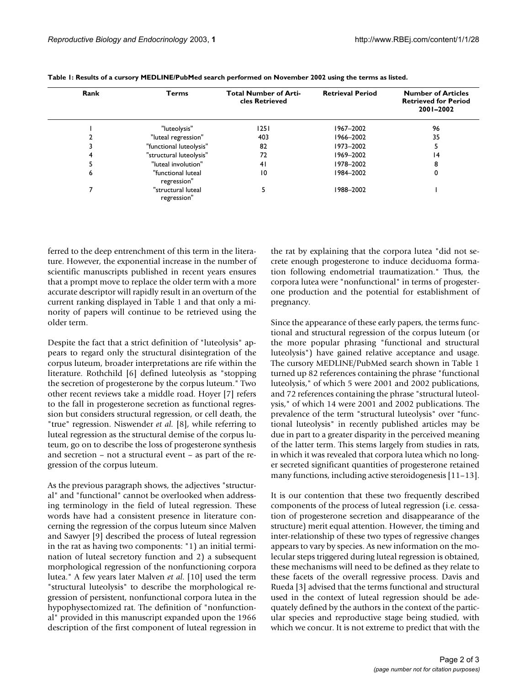| Rank | <b>Terms</b>                      | <b>Total Number of Arti-</b><br>cles Retrieved | <b>Retrieval Period</b> | <b>Number of Articles</b><br><b>Retrieved for Period</b><br>2001-2002 |
|------|-----------------------------------|------------------------------------------------|-------------------------|-----------------------------------------------------------------------|
|      | "luteolysis"                      | 1251                                           | 1967-2002               | 96                                                                    |
|      | "luteal regression"               | 403                                            | 1966-2002               | 35                                                                    |
|      | "functional luteolysis"           | 82                                             | 1973-2002               |                                                                       |
|      | "structural luteolysis"           | 72                                             | 1969-2002               | 14                                                                    |
|      | "luteal involution"               | 41                                             | 1978-2002               | 8                                                                     |
| ь    | "functional luteal<br>regression" | 10                                             | 1984-2002               | 0                                                                     |
|      | "structural luteal<br>regression" |                                                | 1988-2002               |                                                                       |

**Table 1: Results of a cursory MEDLINE/PubMed search performed on November 2002 using the terms as listed.**

ferred to the deep entrenchment of this term in the literature. However, the exponential increase in the number of scientific manuscripts published in recent years ensures that a prompt move to replace the older term with a more accurate descriptor will rapidly result in an overturn of the current ranking displayed in Table 1 and that only a minority of papers will continue to be retrieved using the older term.

Despite the fact that a strict definition of "luteolysis" appears to regard only the structural disintegration of the corpus luteum, broader interpretations are rife within the literature. Rothchild [6] defined luteolysis as "stopping the secretion of progesterone by the corpus luteum." Two other recent reviews take a middle road. Hoyer [7] refers to the fall in progesterone secretion as functional regression but considers structural regression, or cell death, the "true" regression. Niswender *et al.* [8], while referring to luteal regression as the structural demise of the corpus luteum, go on to describe the loss of progesterone synthesis and secretion – not a structural event – as part of the regression of the corpus luteum.

As the previous paragraph shows, the adjectives "structural" and "functional" cannot be overlooked when addressing terminology in the field of luteal regression. These words have had a consistent presence in literature concerning the regression of the corpus luteum since Malven and Sawyer [9] described the process of luteal regression in the rat as having two components: "1) an initial termination of luteal secretory function and 2) a subsequent morphological regression of the nonfunctioning corpora lutea." A few years later Malven *et al*. [10] used the term "structural luteolysis" to describe the morphological regression of persistent, nonfunctional corpora lutea in the hypophysectomized rat. The definition of "nonfunctional" provided in this manuscript expanded upon the 1966 description of the first component of luteal regression in the rat by explaining that the corpora lutea "did not secrete enough progesterone to induce deciduoma formation following endometrial traumatization." Thus, the corpora lutea were "nonfunctional" in terms of progesterone production and the potential for establishment of pregnancy.

Since the appearance of these early papers, the terms functional and structural regression of the corpus luteum (or the more popular phrasing "functional and structural luteolysis") have gained relative acceptance and usage. The cursory MEDLINE/PubMed search shown in Table 1 turned up 82 references containing the phrase "functional luteolysis," of which 5 were 2001 and 2002 publications, and 72 references containing the phrase "structural luteolysis," of which 14 were 2001 and 2002 publications. The prevalence of the term "structural luteolysis" over "functional luteolysis" in recently published articles may be due in part to a greater disparity in the perceived meaning of the latter term. This stems largely from studies in rats, in which it was revealed that corpora lutea which no longer secreted significant quantities of progesterone retained many functions, including active steroidogenesis [11–13].

It is our contention that these two frequently described components of the process of luteal regression (i.e. cessation of progesterone secretion and disappearance of the structure) merit equal attention. However, the timing and inter-relationship of these two types of regressive changes appears to vary by species. As new information on the molecular steps triggered during luteal regression is obtained, these mechanisms will need to be defined as they relate to these facets of the overall regressive process. Davis and Rueda [3] advised that the terms functional and structural used in the context of luteal regression should be adequately defined by the authors in the context of the particular species and reproductive stage being studied, with which we concur. It is not extreme to predict that with the